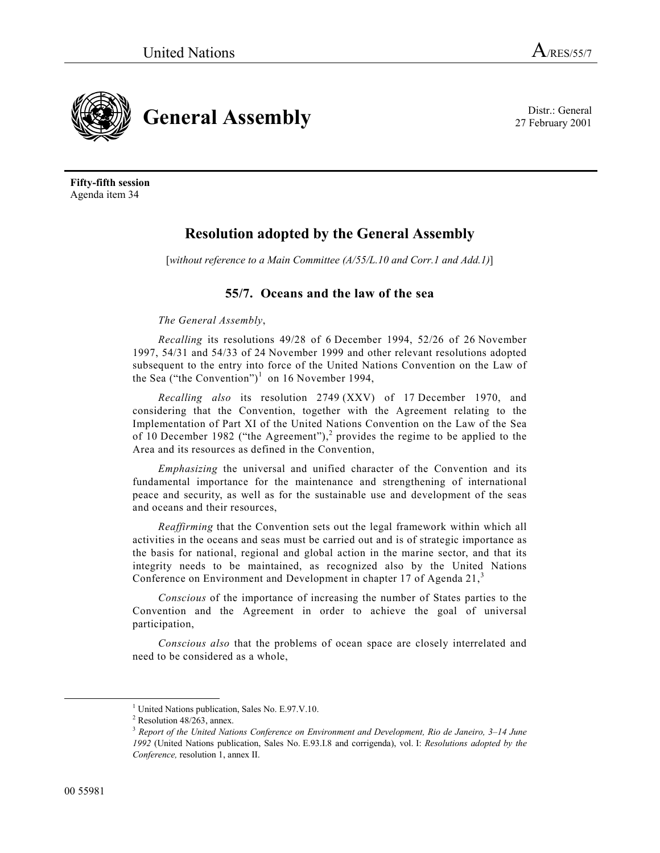27 February 2001



**Fifty-fifth session** Agenda item 34

# **Resolution adopted by the General Assembly**

[*without reference to a Main Committee (A/55/L.10 and Corr.1 and Add.1)*]

## **55/7. Oceans and the law of the sea**

*The General Assembly*,

*Recalling* its resolutions 49/28 of 6 December 1994, 52/26 of 26 November 1997, 54/31 and 54/33 of 24 November 1999 and other relevant resolutions adopted subsequent to the entry into force of the United Nations Convention on the Law of the Sea ("the Convention")<sup>1</sup> on 16 November 1994,

*Recalling also* its resolution 2749 (XXV) of 17 December 1970, and considering that the Convention, together with the Agreement relating to the Implementation of Part XI of the United Nations Convention on the Law of the Sea of 10 December 1982 ("the Agreement"),<sup>2</sup> provides the regime to be applied to the Area and its resources as defined in the Convention,

*Emphasizing* the universal and unified character of the Convention and its fundamental importance for the maintenance and strengthening of international peace and security, as well as for the sustainable use and development of the seas and oceans and their resources,

*Reaffirming* that the Convention sets out the legal framework within which all activities in the oceans and seas must be carried out and is of strategic importance as the basis for national, regional and global action in the marine sector, and that its integrity needs to be maintained, as recognized also by the United Nations Conference on Environment and Development in chapter 17 of Agenda 21,<sup>3</sup>

*Conscious* of the importance of increasing the number of States parties to the Convention and the Agreement in order to achieve the goal of universal participation,

*Conscious also* that the problems of ocean space are closely interrelated and need to be considered as a whole,

<sup>&</sup>lt;u>1</u> <sup>1</sup> United Nations publication, Sales No. E.97.V.10.

 $2^2$  Resolution 48/263, annex.

<sup>3</sup> *Report of the United Nations Conference on Environment and Development, Rio de Janeiro, 3–14 June 1992* (United Nations publication, Sales No. E.93.I.8 and corrigenda), vol. I: *Resolutions adopted by the Conference,* resolution 1, annex II.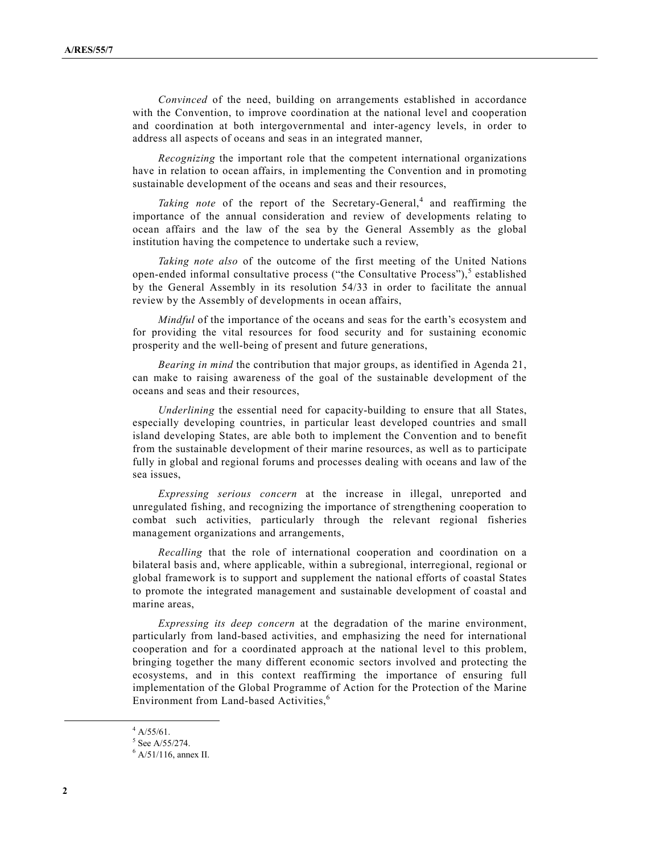*Convinced* of the need, building on arrangements established in accordance with the Convention, to improve coordination at the national level and cooperation and coordination at both intergovernmental and inter-agency levels, in order to address all aspects of oceans and seas in an integrated manner,

*Recognizing* the important role that the competent international organizations have in relation to ocean affairs, in implementing the Convention and in promoting sustainable development of the oceans and seas and their resources,

Taking note of the report of the Secretary-General,<sup>4</sup> and reaffirming the importance of the annual consideration and review of developments relating to ocean affairs and the law of the sea by the General Assembly as the global institution having the competence to undertake such a review,

*Taking note also* of the outcome of the first meeting of the United Nations open-ended informal consultative process ("the Consultative Process"),<sup>5</sup> established by the General Assembly in its resolution 54/33 in order to facilitate the annual review by the Assembly of developments in ocean affairs,

*Mindful* of the importance of the oceans and seas for the earth's ecosystem and for providing the vital resources for food security and for sustaining economic prosperity and the well-being of present and future generations,

*Bearing in mind* the contribution that major groups, as identified in Agenda 21, can make to raising awareness of the goal of the sustainable development of the oceans and seas and their resources,

*Underlining* the essential need for capacity-building to ensure that all States, especially developing countries, in particular least developed countries and small island developing States, are able both to implement the Convention and to benefit from the sustainable development of their marine resources, as well as to participate fully in global and regional forums and processes dealing with oceans and law of the sea issues,

*Expressing serious concern* at the increase in illegal, unreported and unregulated fishing, and recognizing the importance of strengthening cooperation to combat such activities, particularly through the relevant regional fisheries management organizations and arrangements,

*Recalling* that the role of international cooperation and coordination on a bilateral basis and, where applicable, within a subregional, interregional, regional or global framework is to support and supplement the national efforts of coastal States to promote the integrated management and sustainable development of coastal and marine areas,

*Expressing its deep concern* at the degradation of the marine environment, particularly from land-based activities, and emphasizing the need for international cooperation and for a coordinated approach at the national level to this problem, bringing together the many different economic sectors involved and protecting the ecosystems, and in this context reaffirming the importance of ensuring full implementation of the Global Programme of Action for the Protection of the Marine Environment from Land-based Activities,<sup>6</sup>

 <sup>4</sup>  $4$  A/55/61.

 $5$  See A/55/274.

 $<sup>6</sup>$  A/51/116, annex II.</sup>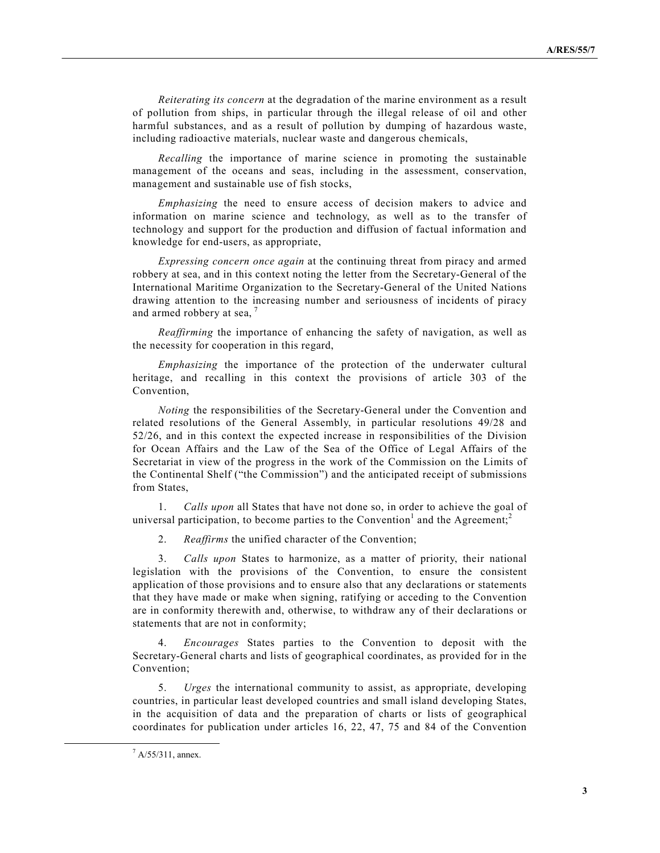*Reiterating its concern* at the degradation of the marine environment as a result of pollution from ships, in particular through the illegal release of oil and other harmful substances, and as a result of pollution by dumping of hazardous waste, including radioactive materials, nuclear waste and dangerous chemicals,

*Recalling* the importance of marine science in promoting the sustainable management of the oceans and seas, including in the assessment, conservation, management and sustainable use of fish stocks,

*Emphasizing* the need to ensure access of decision makers to advice and information on marine science and technology, as well as to the transfer of technology and support for the production and diffusion of factual information and knowledge for end-users, as appropriate,

*Expressing concern once again* at the continuing threat from piracy and armed robbery at sea, and in this context noting the letter from the Secretary-General of the International Maritime Organization to the Secretary-General of the United Nations drawing attention to the increasing number and seriousness of incidents of piracy and armed robbery at sea,<sup>7</sup>

*Reaffirming* the importance of enhancing the safety of navigation, as well as the necessity for cooperation in this regard,

*Emphasizing* the importance of the protection of the underwater cultural heritage, and recalling in this context the provisions of article 303 of the Convention,

*Noting* the responsibilities of the Secretary-General under the Convention and related resolutions of the General Assembly, in particular resolutions 49/28 and 52/26, and in this context the expected increase in responsibilities of the Division for Ocean Affairs and the Law of the Sea of the Office of Legal Affairs of the Secretariat in view of the progress in the work of the Commission on the Limits of the Continental Shelf ("the Commission") and the anticipated receipt of submissions from States,

1. *Calls upon* all States that have not done so, in order to achieve the goal of universal participation, to become parties to the Convention<sup>1</sup> and the Agreement;<sup>2</sup>

2. *Reaffirms* the unified character of the Convention;

3. *Calls upon* States to harmonize, as a matter of priority, their national legislation with the provisions of the Convention, to ensure the consistent application of those provisions and to ensure also that any declarations or statements that they have made or make when signing, ratifying or acceding to the Convention are in conformity therewith and, otherwise, to withdraw any of their declarations or statements that are not in conformity;

4. *Encourages* States parties to the Convention to deposit with the Secretary-General charts and lists of geographical coordinates, as provided for in the Convention;

5. *Urges* the international community to assist, as appropriate, developing countries, in particular least developed countries and small island developing States, in the acquisition of data and the preparation of charts or lists of geographical coordinates for publication under articles 16, 22, 47, 75 and 84 of the Convention

 <sup>7</sup>  $^7$  A/55/311, annex.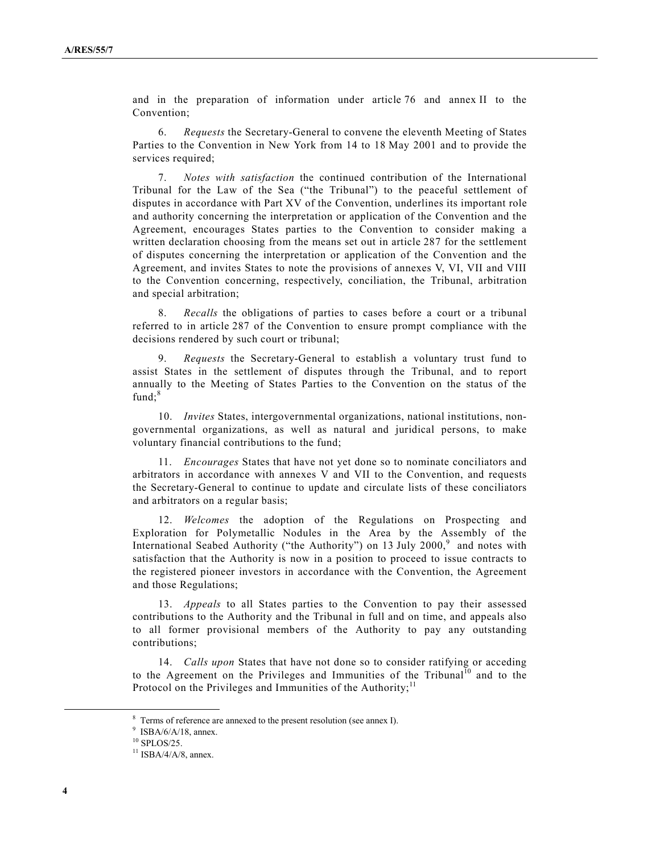and in the preparation of information under article 76 and annex II to the Convention;

6. *Requests* the Secretary-General to convene the eleventh Meeting of States Parties to the Convention in New York from 14 to 18 May 2001 and to provide the services required;

7. *Notes with satisfaction* the continued contribution of the International Tribunal for the Law of the Sea ("the Tribunal") to the peaceful settlement of disputes in accordance with Part XV of the Convention, underlines its important role and authority concerning the interpretation or application of the Convention and the Agreement, encourages States parties to the Convention to consider making a written declaration choosing from the means set out in article 287 for the settlement of disputes concerning the interpretation or application of the Convention and the Agreement, and invites States to note the provisions of annexes V, VI, VII and VIII to the Convention concerning, respectively, conciliation, the Tribunal, arbitration and special arbitration;

8. *Recalls* the obligations of parties to cases before a court or a tribunal referred to in article 287 of the Convention to ensure prompt compliance with the decisions rendered by such court or tribunal;

9. *Requests* the Secretary-General to establish a voluntary trust fund to assist States in the settlement of disputes through the Tribunal, and to report annually to the Meeting of States Parties to the Convention on the status of the  $fund;$ <sup>8</sup>

10. *Invites* States, intergovernmental organizations, national institutions, nongovernmental organizations, as well as natural and juridical persons, to make voluntary financial contributions to the fund;

11. *Encourages* States that have not yet done so to nominate conciliators and arbitrators in accordance with annexes V and VII to the Convention, and requests the Secretary-General to continue to update and circulate lists of these conciliators and arbitrators on a regular basis;

12. *Welcomes* the adoption of the Regulations on Prospecting and Exploration for Polymetallic Nodules in the Area by the Assembly of the International Seabed Authority ("the Authority") on 13 July 2000,<sup>9</sup> and notes with satisfaction that the Authority is now in a position to proceed to issue contracts to the registered pioneer investors in accordance with the Convention, the Agreement and those Regulations;

13. *Appeals* to all States parties to the Convention to pay their assessed contributions to the Authority and the Tribunal in full and on time, and appeals also to all former provisional members of the Authority to pay any outstanding contributions;

14. *Calls upon* States that have not done so to consider ratifying or acceding to the Agreement on the Privileges and Immunities of the Tribunal<sup>10</sup> and to the Protocol on the Privileges and Immunities of the Authority; $11$ 

 <sup>8</sup> <sup>8</sup> Terms of reference are annexed to the present resolution (see annex I).

 $9$  ISBA/6/A/18, annex.

 $10$  SPLOS/25.

 $11$  ISBA/4/A/8, annex.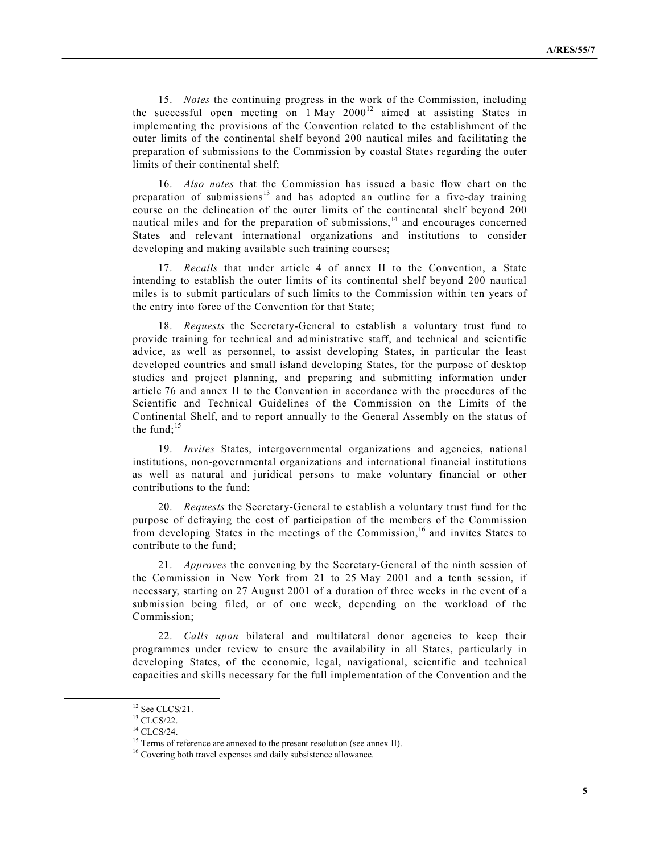15. *Notes* the continuing progress in the work of the Commission, including the successful open meeting on  $1$  May  $2000^{12}$  aimed at assisting States in implementing the provisions of the Convention related to the establishment of the outer limits of the continental shelf beyond 200 nautical miles and facilitating the preparation of submissions to the Commission by coastal States regarding the outer limits of their continental shelf;

16. *Also notes* that the Commission has issued a basic flow chart on the preparation of submissions<sup>13</sup> and has adopted an outline for a five-day training course on the delineation of the outer limits of the continental shelf beyond 200 nautical miles and for the preparation of submissions, $14$  and encourages concerned States and relevant international organizations and institutions to consider developing and making available such training courses;

17. *Recalls* that under article 4 of annex II to the Convention, a State intending to establish the outer limits of its continental shelf beyond 200 nautical miles is to submit particulars of such limits to the Commission within ten years of the entry into force of the Convention for that State;

18. *Requests* the Secretary-General to establish a voluntary trust fund to provide training for technical and administrative staff, and technical and scientific advice, as well as personnel, to assist developing States, in particular the least developed countries and small island developing States, for the purpose of desktop studies and project planning, and preparing and submitting information under article 76 and annex II to the Convention in accordance with the procedures of the Scientific and Technical Guidelines of the Commission on the Limits of the Continental Shelf, and to report annually to the General Assembly on the status of the fund: $15$ 

19. *Invites* States, intergovernmental organizations and agencies, national institutions, non-governmental organizations and international financial institutions as well as natural and juridical persons to make voluntary financial or other contributions to the fund;

20. *Requests* the Secretary-General to establish a voluntary trust fund for the purpose of defraying the cost of participation of the members of the Commission from developing States in the meetings of the Commission,<sup>16</sup> and invites States to contribute to the fund;

21. *Approves* the convening by the Secretary-General of the ninth session of the Commission in New York from 21 to 25 May 2001 and a tenth session, if necessary, starting on 27 August 2001 of a duration of three weeks in the event of a submission being filed, or of one week, depending on the workload of the Commission;

22. *Calls upon* bilateral and multilateral donor agencies to keep their programmes under review to ensure the availability in all States, particularly in developing States, of the economic, legal, navigational, scientific and technical capacities and skills necessary for the full implementation of the Convention and the

 $12$  See CLCS/21.

<sup>&</sup>lt;sup>13</sup> CLCS/22.

 $14$  CLCS/24.

<sup>&</sup>lt;sup>15</sup> Terms of reference are annexed to the present resolution (see annex II).

<sup>&</sup>lt;sup>16</sup> Covering both travel expenses and daily subsistence allowance.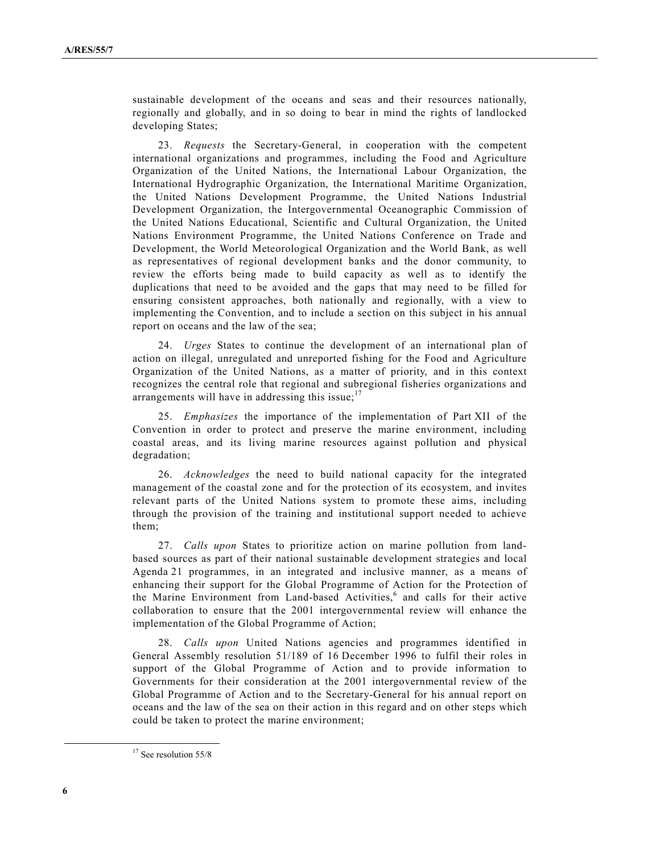sustainable development of the oceans and seas and their resources nationally, regionally and globally, and in so doing to bear in mind the rights of landlocked developing States;

23. *Requests* the Secretary-General, in cooperation with the competent international organizations and programmes, including the Food and Agriculture Organization of the United Nations, the International Labour Organization, the International Hydrographic Organization, the International Maritime Organization, the United Nations Development Programme, the United Nations Industrial Development Organization, the Intergovernmental Oceanographic Commission of the United Nations Educational, Scientific and Cultural Organization, the United Nations Environment Programme, the United Nations Conference on Trade and Development, the World Meteorological Organization and the World Bank, as well as representatives of regional development banks and the donor community, to review the efforts being made to build capacity as well as to identify the duplications that need to be avoided and the gaps that may need to be filled for ensuring consistent approaches, both nationally and regionally, with a view to implementing the Convention, and to include a section on this subject in his annual report on oceans and the law of the sea;

24. *Urges* States to continue the development of an international plan of action on illegal, unregulated and unreported fishing for the Food and Agriculture Organization of the United Nations, as a matter of priority, and in this context recognizes the central role that regional and subregional fisheries organizations and arrangements will have in addressing this issue; $17$ 

25. *Emphasizes* the importance of the implementation of Part XII of the Convention in order to protect and preserve the marine environment, including coastal areas, and its living marine resources against pollution and physical degradation;

26. *Acknowledges* the need to build national capacity for the integrated management of the coastal zone and for the protection of its ecosystem, and invites relevant parts of the United Nations system to promote these aims, including through the provision of the training and institutional support needed to achieve them;

27. *Calls upon* States to prioritize action on marine pollution from landbased sources as part of their national sustainable development strategies and local Agenda 21 programmes, in an integrated and inclusive manner, as a means of enhancing their support for the Global Programme of Action for the Protection of the Marine Environment from Land-based Activities,<sup>6</sup> and calls for their active collaboration to ensure that the 2001 intergovernmental review will enhance the implementation of the Global Programme of Action;

28. *Calls upon* United Nations agencies and programmes identified in General Assembly resolution 51/189 of 16 December 1996 to fulfil their roles in support of the Global Programme of Action and to provide information to Governments for their consideration at the 2001 intergovernmental review of the Global Programme of Action and to the Secretary-General for his annual report on oceans and the law of the sea on their action in this regard and on other steps which could be taken to protect the marine environment;

<sup>&</sup>lt;sup>17</sup> See resolution 55/8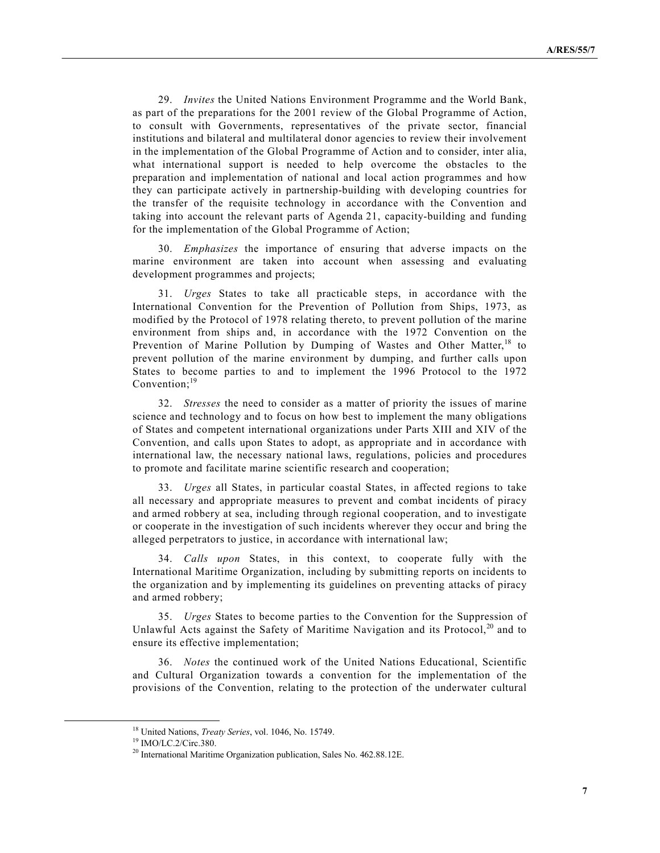29. *Invites* the United Nations Environment Programme and the World Bank, as part of the preparations for the 2001 review of the Global Programme of Action, to consult with Governments, representatives of the private sector, financial institutions and bilateral and multilateral donor agencies to review their involvement in the implementation of the Global Programme of Action and to consider, inter alia, what international support is needed to help overcome the obstacles to the preparation and implementation of national and local action programmes and how they can participate actively in partnership-building with developing countries for the transfer of the requisite technology in accordance with the Convention and taking into account the relevant parts of Agenda 21, capacity-building and funding for the implementation of the Global Programme of Action;

30. *Emphasizes* the importance of ensuring that adverse impacts on the marine environment are taken into account when assessing and evaluating development programmes and projects;

31. *Urges* States to take all practicable steps, in accordance with the International Convention for the Prevention of Pollution from Ships, 1973, as modified by the Protocol of 1978 relating thereto, to prevent pollution of the marine environment from ships and, in accordance with the 1972 Convention on the Prevention of Marine Pollution by Dumping of Wastes and Other Matter, $^{18}$  to prevent pollution of the marine environment by dumping, and further calls upon States to become parties to and to implement the 1996 Protocol to the 1972 Convention; $^{19}$ 

32. *Stresses* the need to consider as a matter of priority the issues of marine science and technology and to focus on how best to implement the many obligations of States and competent international organizations under Parts XIII and XIV of the Convention, and calls upon States to adopt, as appropriate and in accordance with international law, the necessary national laws, regulations, policies and procedures to promote and facilitate marine scientific research and cooperation;

33. *Urges* all States, in particular coastal States, in affected regions to take all necessary and appropriate measures to prevent and combat incidents of piracy and armed robbery at sea, including through regional cooperation, and to investigate or cooperate in the investigation of such incidents wherever they occur and bring the alleged perpetrators to justice, in accordance with international law;

34. *Calls upon* States, in this context, to cooperate fully with the International Maritime Organization, including by submitting reports on incidents to the organization and by implementing its guidelines on preventing attacks of piracy and armed robbery;

35. *Urges* States to become parties to the Convention for the Suppression of Unlawful Acts against the Safety of Maritime Navigation and its Protocol, $^{20}$  and to ensure its effective implementation;

36. *Notes* the continued work of the United Nations Educational, Scientific and Cultural Organization towards a convention for the implementation of the provisions of the Convention, relating to the protection of the underwater cultural

 <sup>18</sup> United Nations, *Treaty Series*, vol. 1046, No. 15749.

<sup>&</sup>lt;sup>19</sup> IMO/LC.2/Circ.380.

<sup>&</sup>lt;sup>20</sup> International Maritime Organization publication, Sales No. 462.88.12E.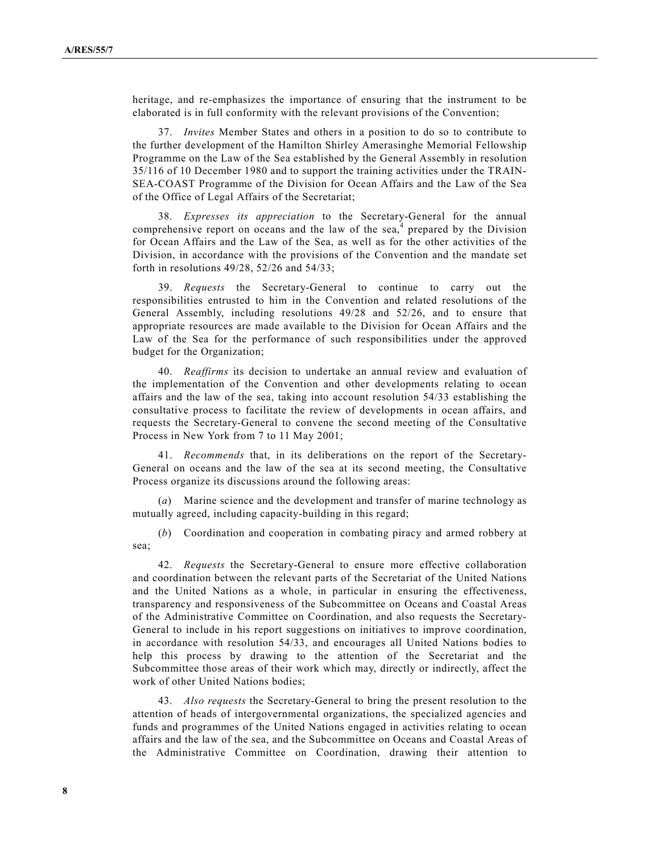heritage, and re-emphasizes the importance of ensuring that the instrument to be elaborated is in full conformity with the relevant provisions of the Convention;

37. *Invites* Member States and others in a position to do so to contribute to the further development of the Hamilton Shirley Amerasinghe Memorial Fellowship Programme on the Law of the Sea established by the General Assembly in resolution 35/116 of 10 December 1980 and to support the training activities under the TRAIN-SEA-COAST Programme of the Division for Ocean Affairs and the Law of the Sea of the Office of Legal Affairs of the Secretariat;

38. *Expresses its appreciation* to the Secretary-General for the annual comprehensive report on oceans and the law of the sea, $4$  prepared by the Division for Ocean Affairs and the Law of the Sea, as well as for the other activities of the Division, in accordance with the provisions of the Convention and the mandate set forth in resolutions 49/28, 52/26 and 54/33;

39. *Requests* the Secretary-General to continue to carry out the responsibilities entrusted to him in the Convention and related resolutions of the General Assembly, including resolutions 49/28 and 52/26, and to ensure that appropriate resources are made available to the Division for Ocean Affairs and the Law of the Sea for the performance of such responsibilities under the approved budget for the Organization;

40. *Reaffirms* its decision to undertake an annual review and evaluation of the implementation of the Convention and other developments relating to ocean affairs and the law of the sea, taking into account resolution 54/33 establishing the consultative process to facilitate the review of developments in ocean affairs, and requests the Secretary-General to convene the second meeting of the Consultative Process in New York from 7 to 11 May 2001;

41. *Recommends* that, in its deliberations on the report of the Secretary-General on oceans and the law of the sea at its second meeting, the Consultative Process organize its discussions around the following areas:

(*a*) Marine science and the development and transfer of marine technology as mutually agreed, including capacity-building in this regard;

(*b*) Coordination and cooperation in combating piracy and armed robbery at sea;

42. *Requests* the Secretary-General to ensure more effective collaboration and coordination between the relevant parts of the Secretariat of the United Nations and the United Nations as a whole, in particular in ensuring the effectiveness, transparency and responsiveness of the Subcommittee on Oceans and Coastal Areas of the Administrative Committee on Coordination, and also requests the Secretary-General to include in his report suggestions on initiatives to improve coordination, in accordance with resolution 54/33, and encourages all United Nations bodies to help this process by drawing to the attention of the Secretariat and the Subcommittee those areas of their work which may, directly or indirectly, affect the work of other United Nations bodies;

43. *Also requests* the Secretary-General to bring the present resolution to the attention of heads of intergovernmental organizations, the specialized agencies and funds and programmes of the United Nations engaged in activities relating to ocean affairs and the law of the sea, and the Subcommittee on Oceans and Coastal Areas of the Administrative Committee on Coordination, drawing their attention to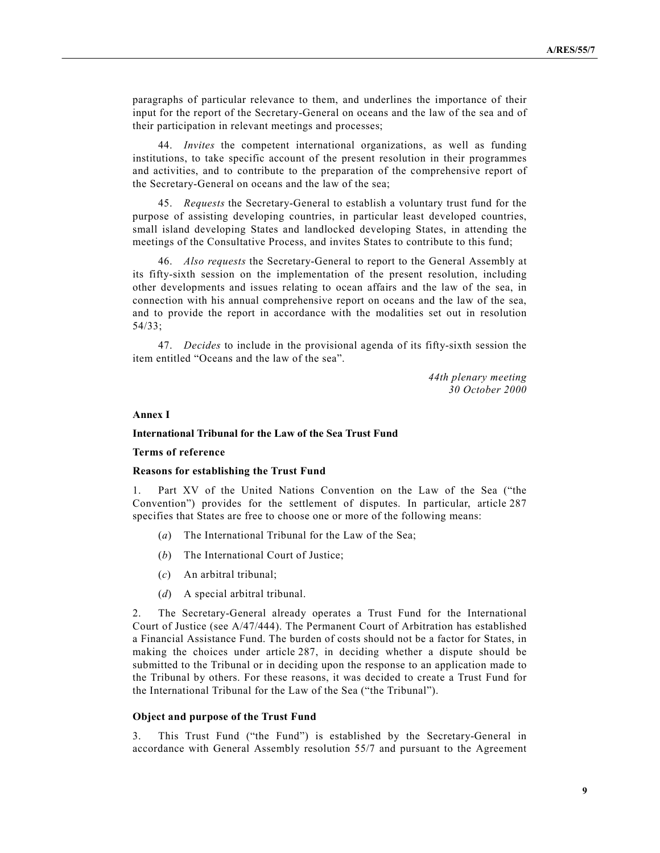paragraphs of particular relevance to them, and underlines the importance of their input for the report of the Secretary-General on oceans and the law of the sea and of their participation in relevant meetings and processes;

44. *Invites* the competent international organizations, as well as funding institutions, to take specific account of the present resolution in their programmes and activities, and to contribute to the preparation of the comprehensive report of the Secretary-General on oceans and the law of the sea;

45. *Requests* the Secretary-General to establish a voluntary trust fund for the purpose of assisting developing countries, in particular least developed countries, small island developing States and landlocked developing States, in attending the meetings of the Consultative Process, and invites States to contribute to this fund;

46. *Also requests* the Secretary-General to report to the General Assembly at its fifty-sixth session on the implementation of the present resolution, including other developments and issues relating to ocean affairs and the law of the sea, in connection with his annual comprehensive report on oceans and the law of the sea, and to provide the report in accordance with the modalities set out in resolution 54/33;

47. *Decides* to include in the provisional agenda of its fifty-sixth session the item entitled "Oceans and the law of the sea".

> *44th plenary meeting 30 October 2000*

## **Annex I**

## **International Tribunal for the Law of the Sea Trust Fund**

## **Terms of reference**

#### **Reasons for establishing the Trust Fund**

1. Part XV of the United Nations Convention on the Law of the Sea ("the Convention") provides for the settlement of disputes. In particular, article 287 specifies that States are free to choose one or more of the following means:

- (*a*) The International Tribunal for the Law of the Sea;
- (*b*) The International Court of Justice;
- (*c*) An arbitral tribunal;
- (*d*) A special arbitral tribunal.

2. The Secretary-General already operates a Trust Fund for the International Court of Justice (see A/47/444). The Permanent Court of Arbitration has established a Financial Assistance Fund. The burden of costs should not be a factor for States, in making the choices under article 287, in deciding whether a dispute should be submitted to the Tribunal or in deciding upon the response to an application made to the Tribunal by others. For these reasons, it was decided to create a Trust Fund for the International Tribunal for the Law of the Sea ("the Tribunal").

## **Object and purpose of the Trust Fund**

3. This Trust Fund ("the Fund") is established by the Secretary-General in accordance with General Assembly resolution 55/7 and pursuant to the Agreement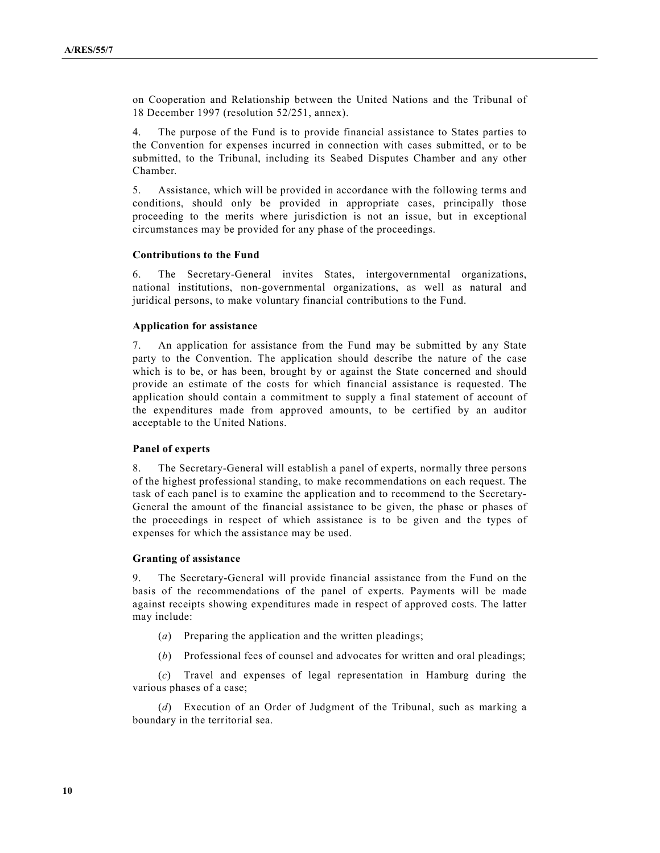on Cooperation and Relationship between the United Nations and the Tribunal of 18 December 1997 (resolution 52/251, annex).

4. The purpose of the Fund is to provide financial assistance to States parties to the Convention for expenses incurred in connection with cases submitted, or to be submitted, to the Tribunal, including its Seabed Disputes Chamber and any other Chamber.

5. Assistance, which will be provided in accordance with the following terms and conditions, should only be provided in appropriate cases, principally those proceeding to the merits where jurisdiction is not an issue, but in exceptional circumstances may be provided for any phase of the proceedings.

## **Contributions to the Fund**

6. The Secretary-General invites States, intergovernmental organizations, national institutions, non-governmental organizations, as well as natural and juridical persons, to make voluntary financial contributions to the Fund.

## **Application for assistance**

7. An application for assistance from the Fund may be submitted by any State party to the Convention. The application should describe the nature of the case which is to be, or has been, brought by or against the State concerned and should provide an estimate of the costs for which financial assistance is requested. The application should contain a commitment to supply a final statement of account of the expenditures made from approved amounts, to be certified by an auditor acceptable to the United Nations.

## **Panel of experts**

8. The Secretary-General will establish a panel of experts, normally three persons of the highest professional standing, to make recommendations on each request. The task of each panel is to examine the application and to recommend to the Secretary-General the amount of the financial assistance to be given, the phase or phases of the proceedings in respect of which assistance is to be given and the types of expenses for which the assistance may be used.

## **Granting of assistance**

9. The Secretary-General will provide financial assistance from the Fund on the basis of the recommendations of the panel of experts. Payments will be made against receipts showing expenditures made in respect of approved costs. The latter may include:

- (*a*) Preparing the application and the written pleadings;
- (*b*) Professional fees of counsel and advocates for written and oral pleadings;

(*c*) Travel and expenses of legal representation in Hamburg during the various phases of a case;

(*d*) Execution of an Order of Judgment of the Tribunal, such as marking a boundary in the territorial sea.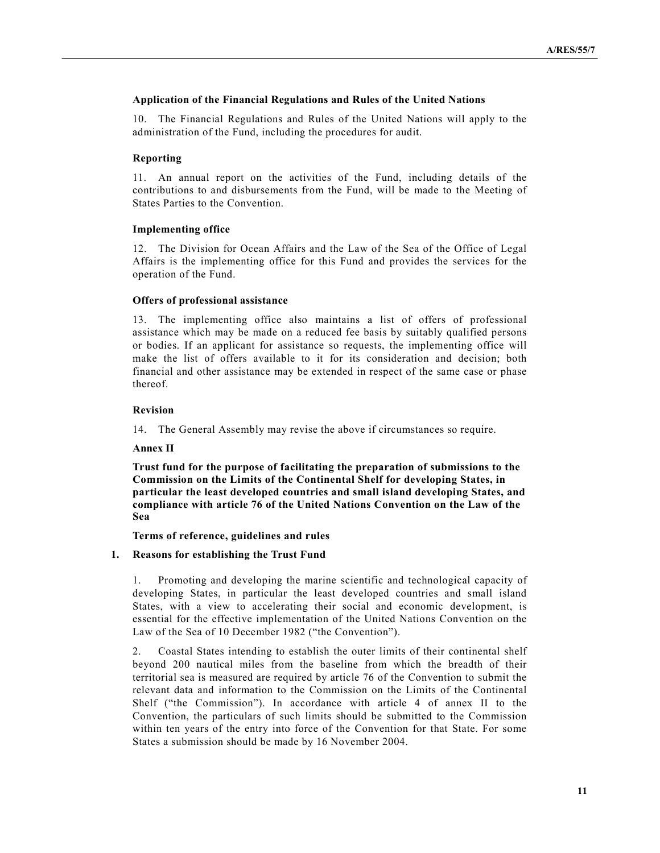## **Application of the Financial Regulations and Rules of the United Nations**

10. The Financial Regulations and Rules of the United Nations will apply to the administration of the Fund, including the procedures for audit.

## **Reporting**

11. An annual report on the activities of the Fund, including details of the contributions to and disbursements from the Fund, will be made to the Meeting of States Parties to the Convention.

## **Implementing office**

12. The Division for Ocean Affairs and the Law of the Sea of the Office of Legal Affairs is the implementing office for this Fund and provides the services for the operation of the Fund.

## **Offers of professional assistance**

13. The implementing office also maintains a list of offers of professional assistance which may be made on a reduced fee basis by suitably qualified persons or bodies. If an applicant for assistance so requests, the implementing office will make the list of offers available to it for its consideration and decision; both financial and other assistance may be extended in respect of the same case or phase thereof.

## **Revision**

14. The General Assembly may revise the above if circumstances so require.

## **Annex II**

**Trust fund for the purpose of facilitating the preparation of submissions to the Commission on the Limits of the Continental Shelf for developing States, in particular the least developed countries and small island developing States, and compliance with article 76 of the United Nations Convention on the Law of the Sea**

#### **Terms of reference, guidelines and rules**

## **1. Reasons for establishing the Trust Fund**

1. Promoting and developing the marine scientific and technological capacity of developing States, in particular the least developed countries and small island States, with a view to accelerating their social and economic development, is essential for the effective implementation of the United Nations Convention on the Law of the Sea of 10 December 1982 ("the Convention").

2. Coastal States intending to establish the outer limits of their continental shelf beyond 200 nautical miles from the baseline from which the breadth of their territorial sea is measured are required by article 76 of the Convention to submit the relevant data and information to the Commission on the Limits of the Continental Shelf ("the Commission"). In accordance with article 4 of annex II to the Convention, the particulars of such limits should be submitted to the Commission within ten years of the entry into force of the Convention for that State. For some States a submission should be made by 16 November 2004.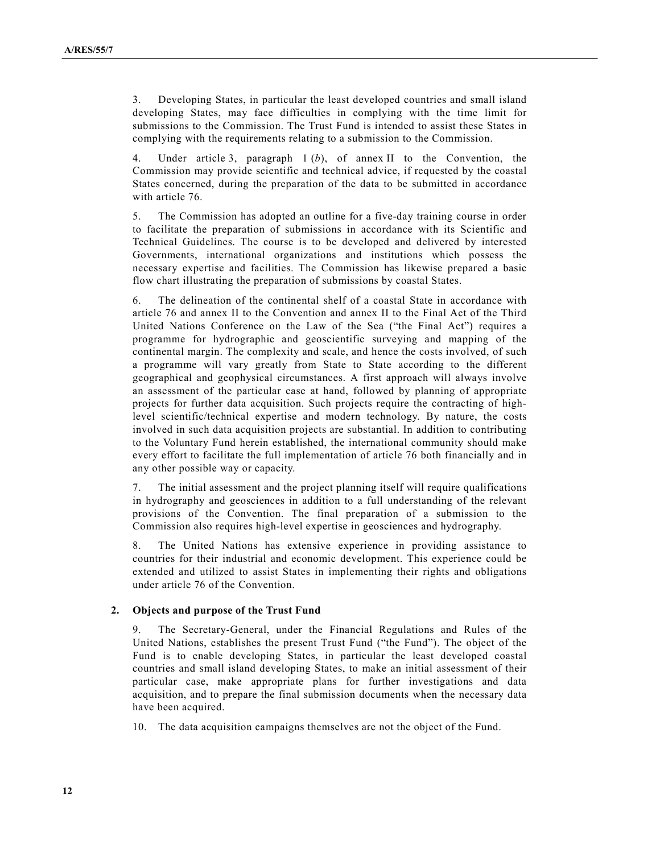3. Developing States, in particular the least developed countries and small island developing States, may face difficulties in complying with the time limit for submissions to the Commission. The Trust Fund is intended to assist these States in complying with the requirements relating to a submission to the Commission.

4. Under article 3, paragraph 1 (*b*), of annex II to the Convention, the Commission may provide scientific and technical advice, if requested by the coastal States concerned, during the preparation of the data to be submitted in accordance with article 76.

5. The Commission has adopted an outline for a five-day training course in order to facilitate the preparation of submissions in accordance with its Scientific and Technical Guidelines. The course is to be developed and delivered by interested Governments, international organizations and institutions which possess the necessary expertise and facilities. The Commission has likewise prepared a basic flow chart illustrating the preparation of submissions by coastal States.

6. The delineation of the continental shelf of a coastal State in accordance with article 76 and annex II to the Convention and annex II to the Final Act of the Third United Nations Conference on the Law of the Sea ("the Final Act") requires a programme for hydrographic and geoscientific surveying and mapping of the continental margin. The complexity and scale, and hence the costs involved, of such a programme will vary greatly from State to State according to the different geographical and geophysical circumstances. A first approach will always involve an assessment of the particular case at hand, followed by planning of appropriate projects for further data acquisition. Such projects require the contracting of highlevel scientific/technical expertise and modern technology. By nature, the costs involved in such data acquisition projects are substantial. In addition to contributing to the Voluntary Fund herein established, the international community should make every effort to facilitate the full implementation of article 76 both financially and in any other possible way or capacity.

7. The initial assessment and the project planning itself will require qualifications in hydrography and geosciences in addition to a full understanding of the relevant provisions of the Convention. The final preparation of a submission to the Commission also requires high-level expertise in geosciences and hydrography.

8. The United Nations has extensive experience in providing assistance to countries for their industrial and economic development. This experience could be extended and utilized to assist States in implementing their rights and obligations under article 76 of the Convention.

## **2. Objects and purpose of the Trust Fund**

9. The Secretary-General, under the Financial Regulations and Rules of the United Nations, establishes the present Trust Fund ("the Fund"). The object of the Fund is to enable developing States, in particular the least developed coastal countries and small island developing States, to make an initial assessment of their particular case, make appropriate plans for further investigations and data acquisition, and to prepare the final submission documents when the necessary data have been acquired.

10. The data acquisition campaigns themselves are not the object of the Fund.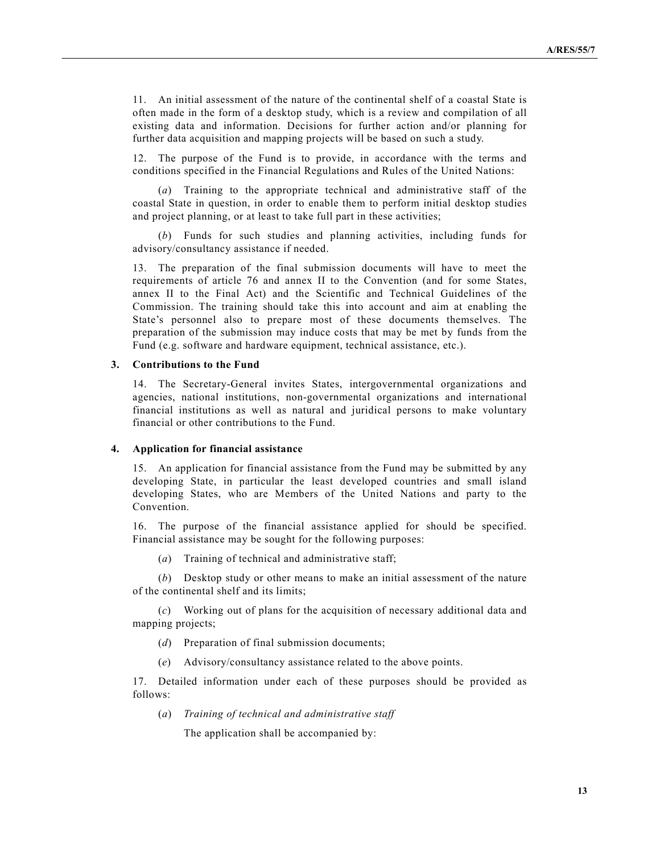11. An initial assessment of the nature of the continental shelf of a coastal State is often made in the form of a desktop study, which is a review and compilation of all existing data and information. Decisions for further action and/or planning for further data acquisition and mapping projects will be based on such a study.

12. The purpose of the Fund is to provide, in accordance with the terms and conditions specified in the Financial Regulations and Rules of the United Nations:

(*a*) Training to the appropriate technical and administrative staff of the coastal State in question, in order to enable them to perform initial desktop studies and project planning, or at least to take full part in these activities;

(*b*) Funds for such studies and planning activities, including funds for advisory/consultancy assistance if needed.

13. The preparation of the final submission documents will have to meet the requirements of article 76 and annex II to the Convention (and for some States, annex II to the Final Act) and the Scientific and Technical Guidelines of the Commission. The training should take this into account and aim at enabling the State's personnel also to prepare most of these documents themselves. The preparation of the submission may induce costs that may be met by funds from the Fund (e.g. software and hardware equipment, technical assistance, etc.).

## **3. Contributions to the Fund**

14. The Secretary-General invites States, intergovernmental organizations and agencies, national institutions, non-governmental organizations and international financial institutions as well as natural and juridical persons to make voluntary financial or other contributions to the Fund.

## **4. Application for financial assistance**

15. An application for financial assistance from the Fund may be submitted by any developing State, in particular the least developed countries and small island developing States, who are Members of the United Nations and party to the Convention.

16. The purpose of the financial assistance applied for should be specified. Financial assistance may be sought for the following purposes:

(*a*) Training of technical and administrative staff;

(*b*) Desktop study or other means to make an initial assessment of the nature of the continental shelf and its limits;

(*c*) Working out of plans for the acquisition of necessary additional data and mapping projects;

- (*d*) Preparation of final submission documents;
- (*e*) Advisory/consultancy assistance related to the above points.

17. Detailed information under each of these purposes should be provided as follows:

(*a*) *Training of technical and administrative staff*

The application shall be accompanied by: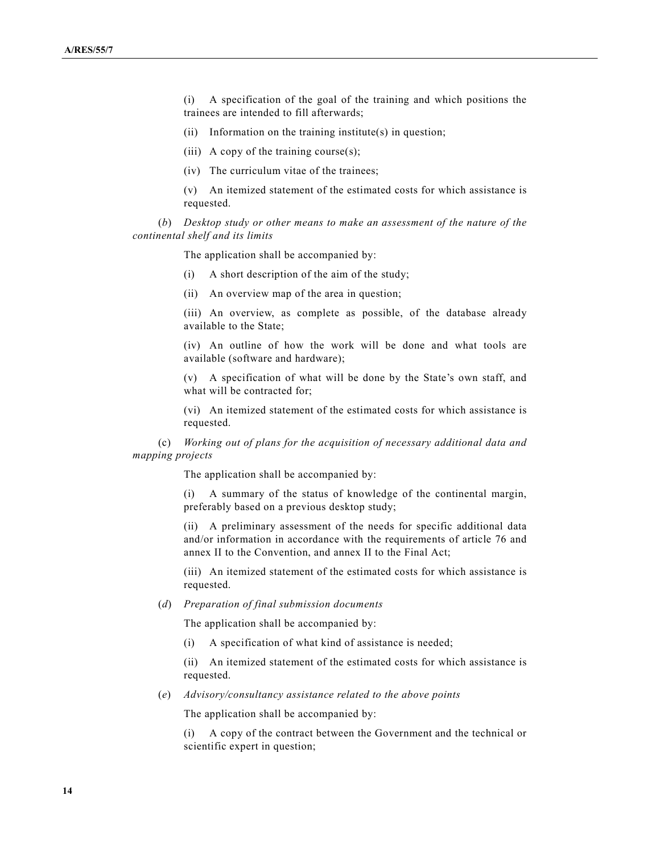(i) A specification of the goal of the training and which positions the trainees are intended to fill afterwards;

(ii) Information on the training institute(s) in question;

(iii) A copy of the training course $(s)$ ;

(iv) The curriculum vitae of the trainees;

(v) An itemized statement of the estimated costs for which assistance is requested.

(*b*) *Desktop study or other means to make an assessment of the nature of the continental shelf and its limits*

The application shall be accompanied by:

(i) A short description of the aim of the study;

(ii) An overview map of the area in question;

(iii) An overview, as complete as possible, of the database already available to the State;

(iv) An outline of how the work will be done and what tools are available (software and hardware);

(v) A specification of what will be done by the State's own staff, and what will be contracted for;

(vi) An itemized statement of the estimated costs for which assistance is requested.

(c) *Working out of plans for the acquisition of necessary additional data and mapping projects*

The application shall be accompanied by:

A summary of the status of knowledge of the continental margin, preferably based on a previous desktop study;

(ii) A preliminary assessment of the needs for specific additional data and/or information in accordance with the requirements of article 76 and annex II to the Convention, and annex II to the Final Act;

(iii) An itemized statement of the estimated costs for which assistance is requested.

(*d*) *Preparation of final submission documents*

The application shall be accompanied by:

(i) A specification of what kind of assistance is needed;

(ii) An itemized statement of the estimated costs for which assistance is requested.

## (*e*) *Advisory/consultancy assistance related to the above points*

The application shall be accompanied by:

(i) A copy of the contract between the Government and the technical or scientific expert in question;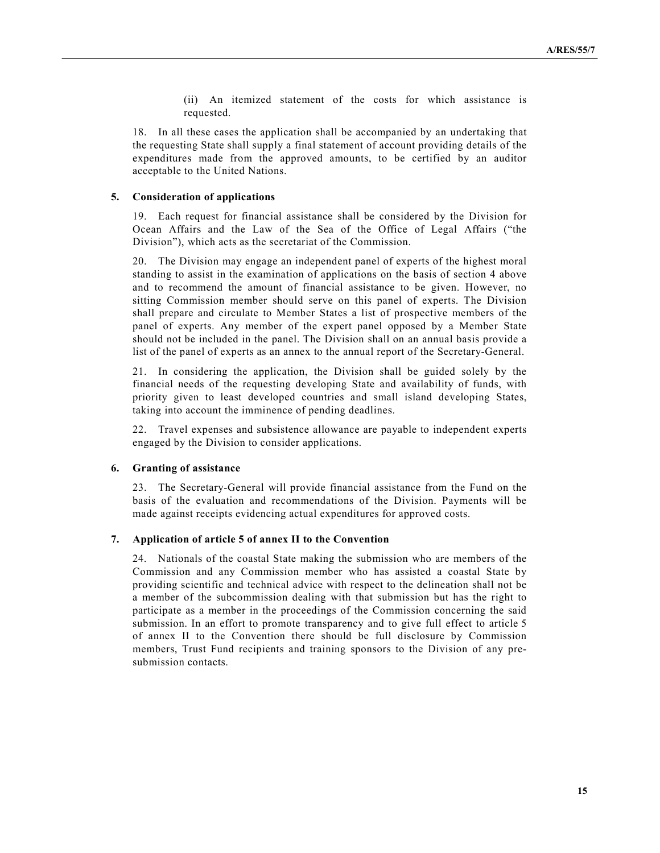(ii) An itemized statement of the costs for which assistance is requested.

18. In all these cases the application shall be accompanied by an undertaking that the requesting State shall supply a final statement of account providing details of the expenditures made from the approved amounts, to be certified by an auditor acceptable to the United Nations.

## **5. Consideration of applications**

19. Each request for financial assistance shall be considered by the Division for Ocean Affairs and the Law of the Sea of the Office of Legal Affairs ("the Division"), which acts as the secretariat of the Commission.

20. The Division may engage an independent panel of experts of the highest moral standing to assist in the examination of applications on the basis of section 4 above and to recommend the amount of financial assistance to be given. However, no sitting Commission member should serve on this panel of experts. The Division shall prepare and circulate to Member States a list of prospective members of the panel of experts. Any member of the expert panel opposed by a Member State should not be included in the panel. The Division shall on an annual basis provide a list of the panel of experts as an annex to the annual report of the Secretary-General.

21. In considering the application, the Division shall be guided solely by the financial needs of the requesting developing State and availability of funds, with priority given to least developed countries and small island developing States, taking into account the imminence of pending deadlines.

22. Travel expenses and subsistence allowance are payable to independent experts engaged by the Division to consider applications.

## **6. Granting of assistance**

23. The Secretary-General will provide financial assistance from the Fund on the basis of the evaluation and recommendations of the Division. Payments will be made against receipts evidencing actual expenditures for approved costs.

## **7. Application of article 5 of annex II to the Convention**

24. Nationals of the coastal State making the submission who are members of the Commission and any Commission member who has assisted a coastal State by providing scientific and technical advice with respect to the delineation shall not be a member of the subcommission dealing with that submission but has the right to participate as a member in the proceedings of the Commission concerning the said submission. In an effort to promote transparency and to give full effect to article 5 of annex II to the Convention there should be full disclosure by Commission members, Trust Fund recipients and training sponsors to the Division of any presubmission contacts.